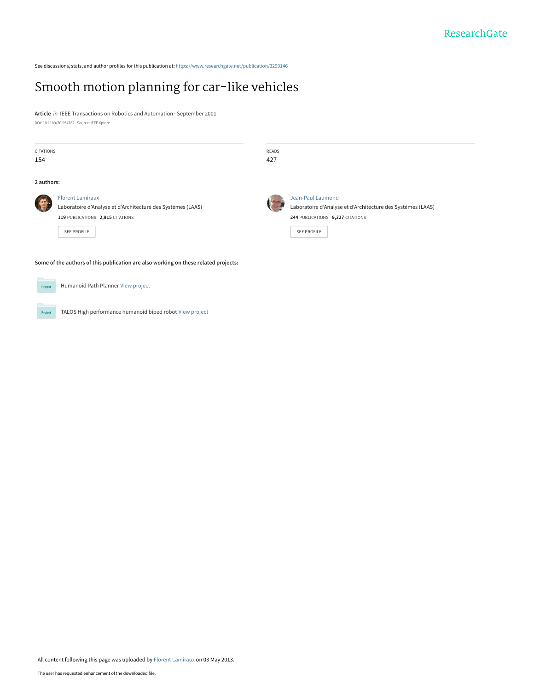See discussions, stats, and author profiles for this publication at: [https://www.researchgate.net/publication/3299146](https://www.researchgate.net/publication/3299146_Smooth_motion_planning_for_car-like_vehicles?enrichId=rgreq-cd3417cd2744952c18938b3f25a98e98-XXX&enrichSource=Y292ZXJQYWdlOzMyOTkxNDY7QVM6MTAzMzk3NjUwODYyMDg1QDE0MDE2NjMzMjkzMTQ%3D&el=1_x_2&_esc=publicationCoverPdf)

# [Smooth motion planning for car-like vehicles](https://www.researchgate.net/publication/3299146_Smooth_motion_planning_for_car-like_vehicles?enrichId=rgreq-cd3417cd2744952c18938b3f25a98e98-XXX&enrichSource=Y292ZXJQYWdlOzMyOTkxNDY7QVM6MTAzMzk3NjUwODYyMDg1QDE0MDE2NjMzMjkzMTQ%3D&el=1_x_3&_esc=publicationCoverPdf)

**Article** in IEEE Transactions on Robotics and Automation · September 2001 DOI: 10.1109/70.954762 · Source: IEEE Xplore

| CITATIONS<br>154                                                                    |                                                                                                                                           | READS<br>427 |                                                                                                                                                   |
|-------------------------------------------------------------------------------------|-------------------------------------------------------------------------------------------------------------------------------------------|--------------|---------------------------------------------------------------------------------------------------------------------------------------------------|
| 2 authors:                                                                          |                                                                                                                                           |              |                                                                                                                                                   |
|                                                                                     | <b>Florent Lamiraux</b><br>Laboratoire d'Analyse et d'Architecture des Systèmes (LAAS)<br>119 PUBLICATIONS 2,915 CITATIONS<br>SEE PROFILE | <b>STURN</b> | <b>Jean-Paul Laumond</b><br>Laboratoire d'Analyse et d'Architecture des Systèmes (LAAS)<br>244 PUBLICATIONS 9,327 CITATIONS<br><b>SEE PROFILE</b> |
| Some of the authors of this publication are also working on these related projects: |                                                                                                                                           |              |                                                                                                                                                   |
| Project                                                                             | Humanoid Path Planner View project                                                                                                        |              |                                                                                                                                                   |

TALOS High performance humanoid biped robot [View project](https://www.researchgate.net/project/TALOS-High-performance-humanoid-biped-robot?enrichId=rgreq-cd3417cd2744952c18938b3f25a98e98-XXX&enrichSource=Y292ZXJQYWdlOzMyOTkxNDY7QVM6MTAzMzk3NjUwODYyMDg1QDE0MDE2NjMzMjkzMTQ%3D&el=1_x_9&_esc=publicationCoverPdf) Project

All content following this page was uploaded by [Florent Lamiraux](https://www.researchgate.net/profile/Florent_Lamiraux?enrichId=rgreq-cd3417cd2744952c18938b3f25a98e98-XXX&enrichSource=Y292ZXJQYWdlOzMyOTkxNDY7QVM6MTAzMzk3NjUwODYyMDg1QDE0MDE2NjMzMjkzMTQ%3D&el=1_x_10&_esc=publicationCoverPdf) on 03 May 2013.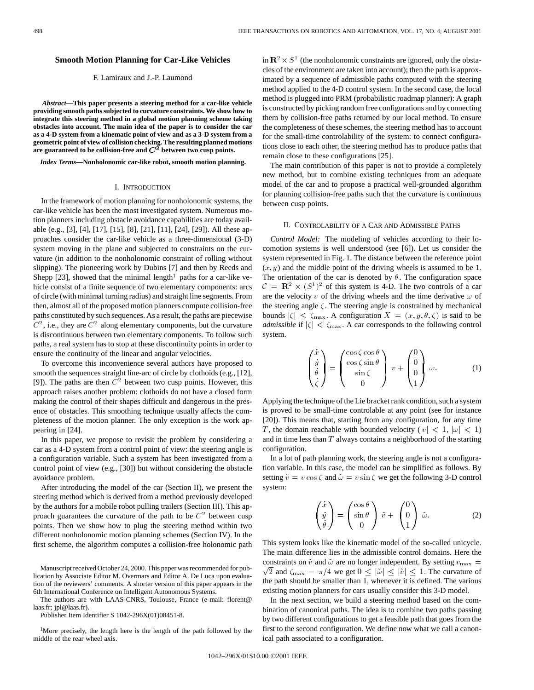## **Smooth Motion Planning for Car-Like Vehicles**

# F. Lamiraux and J.-P. Laumond

*Abstract—***This paper presents a steering method for a car-like vehicle providing smooth paths subjected to curvature constraints. We show how to integrate this steering method in a global motion planning scheme taking obstacles into account. The main idea of the paper is to consider the car as a 4-D system from a kinematic point of view and as a 3-D system from a geometric point of view of collision checking. The resulting planned motions** are guaranteed to be collision-free and  $C^2$  between two cusp points.

*Index Terms—***Nonholonomic car-like robot, smooth motion planning.**

#### I. INTRODUCTION

In the framework of motion planning for nonholonomic systems, the car-like vehicle has been the most investigated system. Numerous motion planners including obstacle avoidance capabilities are today available (e.g., [3], [4], [17], [15], [8], [21], [11], [24], [29]). All these approaches consider the car-like vehicle as a three-dimensional (3-D) system moving in the plane and subjected to constraints on the curvature (in addition to the nonholonomic constraint of rolling without slipping). The pioneering work by Dubins [7] and then by Reeds and Shepp [23], showed that the minimal length<sup>1</sup> paths for a car-like vehicle consist of a finite sequence of two elementary components: arcs of circle (with minimal turning radius) and straight line segments. From then, almost all of the proposed motion planners compute collision-free paths constituted by such sequences. As a result, the paths are piecewise  $C^2$ , i.e., they are  $C^2$  along elementary components, but the curvature is discontinuous between two elementary components. To follow such paths, a real system has to stop at these discontinuity points in order to ensure the continuity of the linear and angular velocities.

To overcome this inconvenience several authors have proposed to smooth the sequences straight line-arc of circle by clothoids (e.g., [12], [9]). The paths are then  $C<sup>2</sup>$  between two cusp points. However, this approach raises another problem: clothoids do not have a closed form making the control of their shapes difficult and dangerous in the presence of obstacles. This smoothing technique usually affects the completeness of the motion planner. The only exception is the work appearing in [24].

In this paper, we propose to revisit the problem by considering a car as a 4-D system from a control point of view: the steering angle is a configuration variable. Such a system has been investigated from a control point of view (e.g., [30]) but without considering the obstacle avoidance problem.

After introducing the model of the car (Section II), we present the steering method which is derived from a method previously developed by the authors for a mobile robot pulling trailers (Section III). This approach guarantees the curvature of the path to be  $C<sup>2</sup>$  between cusp points. Then we show how to plug the steering method within two different nonholonomic motion planning schemes (Section IV). In the first scheme, the algorithm computes a collision-free holonomic path

Manuscript received October 24, 2000. This paper was recommended for publication by Associate Editor M. Overmars and Editor A. De Luca upon evaluation of the reviewers' comments. A shorter version of this paper appears in the 6th International Conference on Intelligent Autonomous Systems.

The authors are with LAAS-CNRS, Toulouse, France (e-mail: florent@ laas.fr; jpl@laas.fr).

Publisher Item Identifier S 1042-296X(01)08451-8.

<sup>1</sup>More precisely, the length here is the length of the path followed by the middle of the rear wheel axis.

in  $\mathbb{R}^2 \times S^1$  (the nonholonomic constraints are ignored, only the obstacles of the environment are taken into account); then the path is approximated by a sequence of admissible paths computed with the steering method applied to the 4-D control system. In the second case, the local method is plugged into PRM (probabilistic roadmap planner): A graph is constructed by picking random free configurations and by connecting them by collision-free paths returned by our local method. To ensure the completeness of these schemes, the steering method has to account for the small-time controlability of the system: to connect configurations close to each other, the steering method has to produce paths that remain close to these configurations [25].

The main contribution of this paper is not to provide a completely new method, but to combine existing techniques from an adequate model of the car and to propose a practical well-grounded algorithm for planning collision-free paths such that the curvature is continuous between cusp points.

## II. CONTROLABILITY OF A CAR AND ADMISSIBLE PATHS

*Control Model:* The modeling of vehicles according to their locomotion systems is well understood (see [6]). Let us consider the system represented in Fig. 1. The distance between the reference point  $(x, y)$  and the middle point of the driving wheels is assumed to be 1. The orientation of the car is denoted by  $\theta$ . The configuration space  $C = \mathbf{R}^2 \times (S^1)^2$  of this system is 4-D. The two controls of a car are the velocity  $v$  of the driving wheels and the time derivative  $\omega$  of the steering angle  $\zeta$ . The steering angle is constrained by mechanical bounds  $|\zeta| \leq \zeta_{\text{max}}$ . A configuration  $X = (x, y, \theta, \zeta)$  is said to be *admissible* if  $|\zeta| < \zeta_{\text{max}}$ . A car corresponds to the following control system.

$$
\begin{pmatrix} \dot{x} \\ \dot{y} \\ \dot{\theta} \\ \dot{\zeta} \end{pmatrix} = \begin{pmatrix} \cos \zeta \cos \theta \\ \cos \zeta \sin \theta \\ \sin \zeta \\ 0 \end{pmatrix} v + \begin{pmatrix} 0 \\ 0 \\ 0 \\ 1 \end{pmatrix} \omega.
$$
 (1)

Applying the technique of the Lie bracket rank condition, such a system is proved to be small-time controlable at any point (see for instance [20]). This means that, starting from any configuration, for any time T, the domain reachable with bounded velocity  $(|v| < 1, |\omega| < 1)$ and in time less than  $T$  always contains a neighborhood of the starting configuration.

In a lot of path planning work, the steering angle is not a configuration variable. In this case, the model can be simplified as follows. By setting  $\tilde{v} = v \cos \zeta$  and  $\tilde{\omega} = v \sin \zeta$  we get the following 3-D control system:

$$
\begin{pmatrix} \dot{x} \\ \dot{y} \\ \dot{\theta} \end{pmatrix} = \begin{pmatrix} \cos \theta \\ \sin \theta \\ 0 \end{pmatrix} \tilde{v} + \begin{pmatrix} 0 \\ 0 \\ 1 \end{pmatrix} \tilde{\omega}.
$$
 (2)

This system looks like the kinematic model of the so-called unicycle. The main difference lies in the admissible control domains. Here the  $\sqrt{2}$  and  $\zeta_{\text{max}} = \pi/4$  we get  $0 \le |\tilde{\omega}| \le |\tilde{v}| \le 1$ . The curvature of constraints on  $\tilde{v}$  and  $\tilde{\omega}$  are no longer independent. By setting  $v_{\text{max}} =$ the path should be smaller than 1, whenever it is defined. The various existing motion planners for cars usually consider this 3-D model.

In the next section, we build a steering method based on the combination of canonical paths. The idea is to combine two paths passing by two different configurations to get a feasible path that goes from the first to the second configuration. We define now what we call a canonical path associated to a configuration.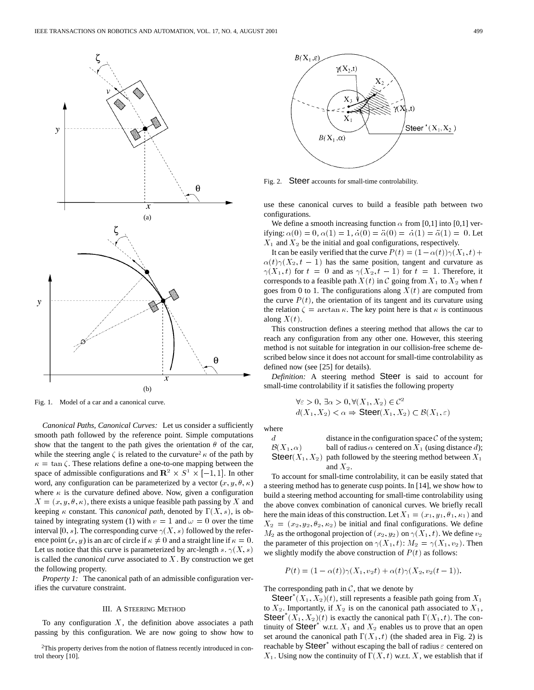

Fig. 1. Model of a car and a canonical curve.

*Canonical Paths, Canonical Curves:* Let us consider a sufficiently smooth path followed by the reference point. Simple computations show that the tangent to the path gives the orientation  $\theta$  of the car, while the steering angle  $\zeta$  is related to the curvature<sup>2</sup>  $\kappa$  of the path by  $\kappa = \tan \zeta$ . These relations define a one-to-one mapping between the space of admissible configurations and  $\mathbb{R}^2 \times S^1 \times [-1, 1]$ . In other word, any configuration can be parameterized by a vector  $(x, y, \theta, \kappa)$ where  $\kappa$  is the curvature defined above. Now, given a configuration  $X = (x, y, \theta, \kappa)$ , there exists a unique feasible path passing by X and keeping  $\kappa$  constant. This *canonical path*, denoted by  $\Gamma(X, s)$ , is obtained by integrating system (1) with  $v = 1$  and  $\omega = 0$  over the time interval [0, s]. The corresponding curve  $\gamma(X, s)$  followed by the reference point  $(x, y)$  is an arc of circle if  $\kappa \neq 0$  and a straight line if  $\kappa = 0$ . Let us notice that this curve is parameterized by arc-length s.  $\gamma(X, s)$ is called the *canonical curve* associated to X. By construction we get the following property.

*Property 1:* The canonical path of an admissible configuration verifies the curvature constraint.

## III. A STEERING METHOD

To any configuration  $X$ , the definition above associates a path passing by this configuration. We are now going to show how to



Fig. 2. Steer accounts for small-time controlability.

use these canonical curves to build a feasible path between two configurations.

We define a smooth increasing function  $\alpha$  from [0,1] into [0,1] verifying:  $\alpha(0) = 0$ ,  $\alpha(1) = 1$ ,  $\dot{\alpha}(0) = \ddot{\alpha}(0) = \dot{\alpha}(1) = \ddot{\alpha}(1) = 0$ . Let  $X_1$  and  $X_2$  be the initial and goal configurations, respectively.

It can be easily verified that the curve  $P(t) = (1 - \alpha(t))\gamma(X_1, t) +$  $\alpha(t)\gamma(X_2,t-1)$  has the same position, tangent and curvature as  $\gamma(X_1, t)$  for  $t = 0$  and as  $\gamma(X_2, t - 1)$  for  $t = 1$ . Therefore, it corresponds to a feasible path  $X(t)$  in  $C$  going from  $X_1$  to  $X_2$  when  $t$ goes from 0 to 1. The configurations along  $X(t)$  are computed from the curve  $P(t)$ , the orientation of its tangent and its curvature using the relation  $\zeta = \arctan \kappa$ . The key point here is that  $\kappa$  is continuous along  $X(t)$ .

This construction defines a steering method that allows the car to reach any configuration from any other one. However, this steering method is not suitable for integration in our collision-free scheme described below since it does not account for small-time controlability as defined now (see [25] for details).

*Definition:* A steering method Steer is said to account for small-time controlability if it satisfies the following property

$$
\forall \varepsilon > 0, \exists \alpha > 0, \forall (X_1, X_2) \in \mathcal{C}^2
$$

$$
d(X_1, X_2) < \alpha \Rightarrow \text{Steer}(X_1, X_2) \subset \mathcal{B}(X_1, \varepsilon)
$$

where

$$
d
$$
 distance in the configuration space C of the system;  
\n
$$
B(X_1, \alpha)
$$
 ball of radius α centered on  $X_1$  (using distance d);  
\n**Ster** $(X_1, X_2)$  path followed by the steering method between  $X_1$   
\nand  $X_2$ .

To account for small-time controlability, it can be easily stated that a steering method has to generate cusp points. In [14], we show how to build a steering method accounting for small-time controlability using the above convex combination of canonical curves. We briefly recall here the main ideas of this construction. Let  $X_1 = (x_1, y_1, \theta_1, \kappa_1)$  and  $X_2 = (x_2, y_2, \theta_2, \kappa_2)$  be initial and final configurations. We define  $M_2$  as the orthogonal projection of  $(x_2, y_2)$  on  $\gamma(X_1, t)$ . We define  $v_2$ the parameter of this projection on  $\gamma(X_1, t)$ :  $M_2 = \gamma(X_1, v_2)$ . Then we slightly modify the above construction of  $P(t)$  as follows:

 $P(t) = (1 - \alpha(t))\gamma(X_1, v_2t) + \alpha(t)\gamma(X_2, v_2(t - 1)).$ 

The corresponding path in  $C$ , that we denote by

Steer<sup>\*</sup>  $(X_1, X_2)(t)$ , still represents a feasible path going from  $X_1$ to  $X_2$ . Importantly, if  $X_2$  is on the canonical path associated to  $X_1$ , Steer<sup>\*</sup> $(X_1, X_2)(t)$  is exactly the canonical path  $\Gamma(X_1, t)$ . The continuity of Steer<sup>\*</sup> w.r.t.  $X_1$  and  $X_2$  enables us to prove that an open set around the canonical path  $\Gamma(X_1, t)$  (the shaded area in Fig. 2) is reachable by  $\text{Steer}^*$  without escaping the ball of radius  $\varepsilon$  centered on  $X_1$ . Using now the continuity of  $\Gamma(X, t)$  w.r.t. X, we establish that if

<sup>2</sup>This property derives from the notion of flatness recently introduced in control theory [10].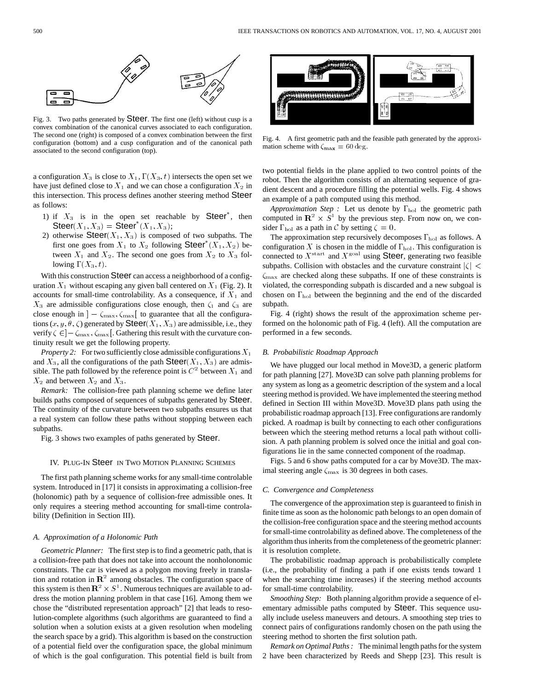

Fig. 3. Two paths generated by Steer. The first one (left) without cusp is a convex combination of the canonical curves associated to each configuration. The second one (right) is composed of a convex combination between the first configuration (bottom) and a cusp configuration and of the canonical path associated to the second configuration (top).

a configuration  $X_3$  is close to  $X_1, \Gamma(X_3, t)$  intersects the open set we have just defined close to  $X_1$  and we can chose a configuration  $X_2$  in this intersection. This process defines another steering method Steer as follows:

- 1) if  $X_3$  is in the open set reachable by Steer<sup>\*</sup>, then Steer $(X_1, X_3) =$  Steer<sup>\*</sup> $(X_1, X_3)$ ;
- 2) otherwise  $\mathsf{S} \text{teer}(X_1, X_3)$  is composed of two subpaths. The first one goes from  $X_1$  to  $X_2$  following Steer<sup>\*</sup> $(X_1, X_2)$  between  $X_1$  and  $X_2$ . The second one goes from  $X_2$  to  $X_3$  following  $\Gamma(X_3,t)$ .

With this construction Steer can access a neighborhood of a configuration  $X_1$  without escaping any given ball centered on  $X_1$  (Fig. 2). It accounts for small-time controlability. As a consequence, if  $X_1$  and  $X_3$  are admissible configurations close enough, then  $\zeta_1$  and  $\zeta_3$  are close enough in  $\int$  –  $\zeta_{\text{max}}$ ,  $\zeta_{\text{max}}$ [ to guarantee that all the configurations  $(x, y, \theta, \zeta)$  generated by Steer( $X_1, X_3$ ) are admissible, i.e., they verify  $\zeta \in ]-\zeta_{\max}, \zeta_{\max}[$ . Gathering this result with the curvature continuity result we get the following property.

*Property 2:* For two sufficiently close admissible configurations  $X_1$ and  $X_3$ , all the configurations of the path  $\mathsf{Steer}(X_1, X_3)$  are admissible. The path followed by the reference point is  $C<sup>2</sup>$  between  $X<sub>1</sub>$  and  $X_2$  and between  $X_2$  and  $X_3$ .

*Remark:* The collision-free path planning scheme we define later builds paths composed of sequences of subpaths generated by Steer. The continuity of the curvature between two subpaths ensures us that a real system can follow these paths without stopping between each subpaths.

Fig. 3 shows two examples of paths generated by Steer.

## IV. PLUG-IN Steer IN TWO MOTION PLANNING SCHEMES

The first path planning scheme works for any small-time controlable system. Introduced in [17] it consists in approximating a collision-free (holonomic) path by a sequence of collision-free admissible ones. It only requires a steering method accounting for small-time controlability (Definition in Section III).

#### *A. Approximation of a Holonomic Path*

*Geometric Planner:* The first step is to find a geometric path, that is a collision-free path that does not take into account the nonholonomic constraints. The car is viewed as a polygon moving freely in translation and rotation in  $\mathbb{R}^2$  among obstacles. The configuration space of this system is then  $\mathbb{R}^2 \times S^1$ . Numerous techniques are available to address the motion planning problem in that case [16]. Among them we chose the "distributed representation approach" [2] that leads to resolution-complete algorithms (such algorithms are guaranteed to find a solution when a solution exists at a given resolution when modeling the search space by a grid). This algorithm is based on the construction of a potential field over the configuration space, the global minimum of which is the goal configuration. This potential field is built from



Fig. 4. A first geometric path and the feasible path generated by the approximation scheme with  $\zeta_{\text{max}} = 60 \text{ deg}.$ 

two potential fields in the plane applied to two control points of the robot. Then the algorithm consists of an alternating sequence of gradient descent and a procedure filling the potential wells. Fig. 4 shows an example of a path computed using this method.

*Approximation Step* : Let us denote by  $\Gamma_{hol}$  the geometric path computed in  $\mathbb{R}^2 \times S^1$  by the previous step. From now on, we consider  $\Gamma_{\text{hol}}$  as a path in C by setting  $\zeta = 0$ .

The approximation step recursively decomposes  $\Gamma_{hol}$  as follows. A configuration X is chosen in the middle of  $\Gamma_{hol}$ . This configuration is connected to  $X^{\text{start}}$  and  $X^{\text{goal}}$  using Steer, generating two feasible subpaths. Collision with obstacles and the curvature constraint  $|\zeta|$  <  $\zeta_{\text{max}}$  are checked along these subpaths. If one of these constraints is violated, the corresponding subpath is discarded and a new subgoal is chosen on  $\Gamma_{hol}$  between the beginning and the end of the discarded subpath.

Fig. 4 (right) shows the result of the approximation scheme performed on the holonomic path of Fig. 4 (left). All the computation are performed in a few seconds.

#### *B. Probabilistic Roadmap Approach*

We have plugged our local method in Move3D, a generic platform for path planning [27]. Move3D can solve path planning problems for any system as long as a geometric description of the system and a local steering method is provided. We have implemented the steering method defined in Section III within Move3D. Move3D plans path using the probabilistic roadmap approach [13]. Free configurations are randomly picked. A roadmap is built by connecting to each other configurations between which the steering method returns a local path without collision. A path planning problem is solved once the initial and goal configurations lie in the same connected component of the roadmap.

Figs. 5 and 6 show paths computed for a car by Move3D. The maximal steering angle  $\zeta_{\text{max}}$  is 30 degrees in both cases.

# *C. Convergence and Completeness*

The convergence of the approximation step is guaranteed to finish in finite time as soon as the holonomic path belongs to an open domain of the collision-free configuration space and the steering method accounts for small-time controlability as defined above. The completeness of the algorithm thus inherits from the completeness of the geometric planner: it is resolution complete.

The probabilistic roadmap approach is probabilistically complete (i.e., the probability of finding a path if one exists tends toward 1 when the searching time increases) if the steering method accounts for small-time controlability.

*Smoothing Step:* Both planning algorithm provide a sequence of elementary admissible paths computed by Steer. This sequence usually include useless maneuvers and detours. A smoothing step tries to connect pairs of configurations randomly chosen on the path using the steering method to shorten the first solution path.

*Remark on Optimal Paths :* The minimal length paths for the system 2 have been characterized by Reeds and Shepp [23]. This result is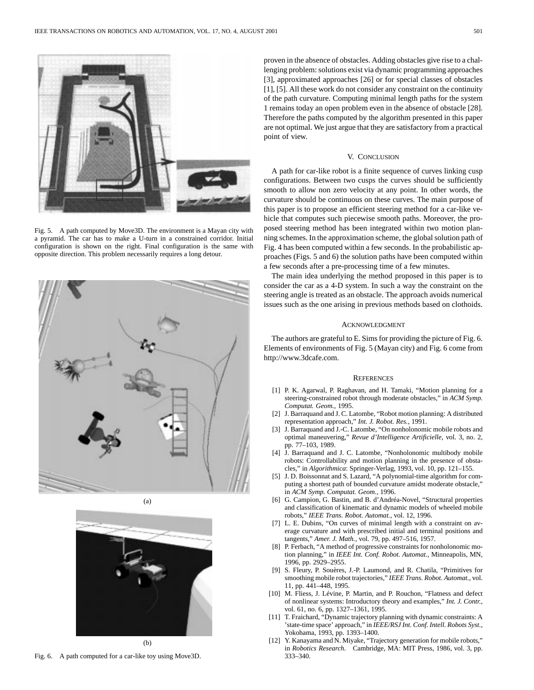

Fig. 5. A path computed by Move3D. The environment is a Mayan city with a pyramid. The car has to make a U-turn in a constrained corridor. Initial configuration is shown on the right. Final configuration is the same with opposite direction. This problem necessarily requires a long detour.



(a)



(b)

Fig. 6. A path computed for a car-like toy using Move3D.

proven in the absence of obstacles. Adding obstacles give rise to a challenging problem: solutions exist via dynamic programming approaches [3], approximated approaches [26] or for special classes of obstacles [1], [5]. All these work do not consider any constraint on the continuity of the path curvature. Computing minimal length paths for the system 1 remains today an open problem even in the absence of obstacle [28]. Therefore the paths computed by the algorithm presented in this paper are not optimal. We just argue that they are satisfactory from a practical point of view.

# V. CONCLUSION

A path for car-like robot is a finite sequence of curves linking cusp configurations. Between two cusps the curves should be sufficiently smooth to allow non zero velocity at any point. In other words, the curvature should be continuous on these curves. The main purpose of this paper is to propose an efficient steering method for a car-like vehicle that computes such piecewise smooth paths. Moreover, the proposed steering method has been integrated within two motion planning schemes. In the approximation scheme, the global solution path of Fig. 4 has been computed within a few seconds. In the probabilistic approaches (Figs. 5 and 6) the solution paths have been computed within a few seconds after a pre-processing time of a few minutes.

The main idea underlying the method proposed in this paper is to consider the car as a 4-D system. In such a way the constraint on the steering angle is treated as an obstacle. The approach avoids numerical issues such as the one arising in previous methods based on clothoids.

# ACKNOWLEDGMENT

The authors are grateful to E. Sims for providing the picture of Fig. 6. Elements of environments of Fig. 5 (Mayan city) and Fig. 6 come from http://www.3dcafe.com.

#### **REFERENCES**

- [1] P. K. Agarwal, P. Raghavan, and H. Tamaki, "Motion planning for a steering-constrained robot through moderate obstacles," in *ACM Symp. Computat. Geom.*, 1995.
- [2] J. Barraquand and J. C. Latombe, "Robot motion planning: A distributed representation approach," *Int. J. Robot. Res.*, 1991.
- [3] J. Barraquand and J.-C. Latombe, "On nonholonomic mobile robots and optimal maneuvering," *Revue d'Intelligence Artificielle*, vol. 3, no. 2, pp. 77–103, 1989.
- [4] J. Barraquand and J. C. Latombe, "Nonholonomic multibody mobile robots: Controllability and motion planning in the presence of obstacles," in *Algorithmica*: Springer-Verlag, 1993, vol. 10, pp. 121–155.
- [5] J. D. Boissonnat and S. Lazard, "A polynomial-time algorithm for computing a shortest path of bounded curvature amidst moderate obstacle," in *ACM Symp. Computat. Geom.*, 1996.
- [6] G. Campion, G. Bastin, and B. d'Andréa-Novel, "Structural properties and classification of kinematic and dynamic models of wheeled mobile robots," *IEEE Trans. Robot. Automat.*, vol. 12, 1996.
- [7] L. E. Dubins, "On curves of minimal length with a constraint on average curvature and with prescribed initial and terminal positions and tangents," *Amer. J. Math.*, vol. 79, pp. 497–516, 1957.
- [8] P. Ferbach, "A method of progressive constraints for nonholonomic motion planning," in *IEEE Int. Conf. Robot. Automat.*, Minneapolis, MN, 1996, pp. 2929–2955.
- [9] S. Fleury, P. Souères, J.-P. Laumond, and R. Chatila, "Primitives for smoothing mobile robot trajectories," *IEEE Trans. Robot. Automat.*, vol. 11, pp. 441–448, 1995.
- [10] M. Fliess, J. Lévine, P. Martin, and P. Rouchon, "Flatness and defect of nonlinear systems: Introductory theory and examples," *Int. J. Contr.*, vol. 61, no. 6, pp. 1327–1361, 1995.
- [11] T. Fraichard, "Dynamic trajectory planning with dynamic constraints: A 'state-time space' approach," in *IEEE/RSJ Int. Conf. Intell. Robots Syst.*, Yokohama, 1993, pp. 1393–1400.
- [12] Y. Kanayama and N. Miyake, "Trajectory generation for mobile robots," in *Robotics Research*. Cambridge, MA: MIT Press, 1986, vol. 3, pp. 333–340.